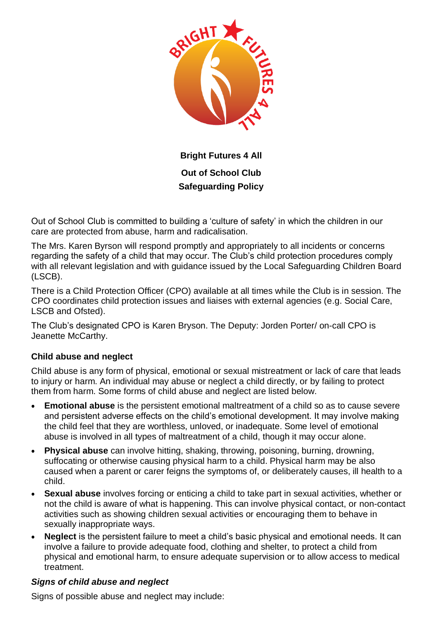

**Bright Futures 4 All Out of School Club Safeguarding Policy**

Out of School Club is committed to building a 'culture of safety' in which the children in our care are protected from abuse, harm and radicalisation.

The Mrs. Karen Byrson will respond promptly and appropriately to all incidents or concerns regarding the safety of a child that may occur. The Club's child protection procedures comply with all relevant legislation and with guidance issued by the Local Safeguarding Children Board (LSCB).

There is a Child Protection Officer (CPO) available at all times while the Club is in session. The CPO coordinates child protection issues and liaises with external agencies (e.g. Social Care, LSCB and Ofsted).

The Club's designated CPO is Karen Bryson. The Deputy: Jorden Porter/ on-call CPO is Jeanette McCarthy.

# **Child abuse and neglect**

Child abuse is any form of physical, emotional or sexual mistreatment or lack of care that leads to injury or harm. An individual may abuse or neglect a child directly, or by failing to protect them from harm. Some forms of child abuse and neglect are listed below.

- **Emotional abuse** is the persistent emotional maltreatment of a child so as to cause severe and persistent adverse effects on the child's emotional development. It may involve making the child feel that they are worthless, unloved, or inadequate. Some level of emotional abuse is involved in all types of maltreatment of a child, though it may occur alone.
- **Physical abuse** can involve hitting, shaking, throwing, poisoning, burning, drowning, suffocating or otherwise causing physical harm to a child. Physical harm may be also caused when a parent or carer feigns the symptoms of, or deliberately causes, ill health to a child.
- **Sexual abuse** involves forcing or enticing a child to take part in sexual activities, whether or not the child is aware of what is happening. This can involve physical contact, or non-contact activities such as showing children sexual activities or encouraging them to behave in sexually inappropriate ways.
- **Neglect** is the persistent failure to meet a child's basic physical and emotional needs. It can involve a failure to provide adequate food, clothing and shelter, to protect a child from physical and emotional harm, to ensure adequate supervision or to allow access to medical treatment.

# *Signs of child abuse and neglect*

Signs of possible abuse and neglect may include: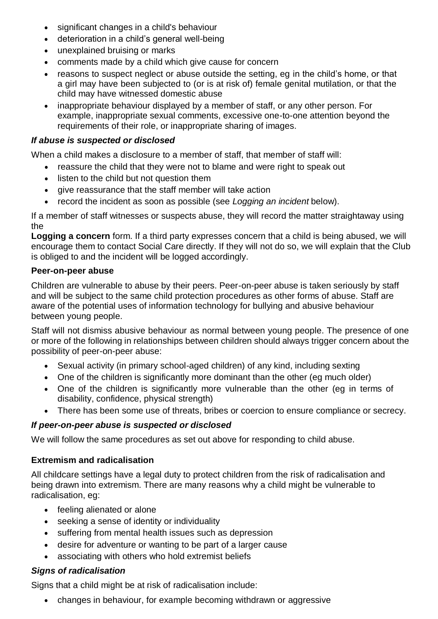- significant changes in a child's behaviour
- deterioration in a child's general well-being
- unexplained bruising or marks
- comments made by a child which give cause for concern
- reasons to suspect neglect or abuse outside the setting, eg in the child's home, or that a girl may have been subjected to (or is at risk of) female genital mutilation, or that the child may have witnessed domestic abuse
- inappropriate behaviour displayed by a member of staff, or any other person. For example, inappropriate sexual comments, excessive one-to-one attention beyond the requirements of their role, or inappropriate sharing of images.

#### *If abuse is suspected or disclosed*

When a child makes a disclosure to a member of staff, that member of staff will:

- reassure the child that they were not to blame and were right to speak out
- listen to the child but not question them
- give reassurance that the staff member will take action
- record the incident as soon as possible (see *Logging an incident* below).

If a member of staff witnesses or suspects abuse, they will record the matter straightaway using the

**Logging a concern** form. If a third party expresses concern that a child is being abused, we will encourage them to contact Social Care directly. If they will not do so, we will explain that the Club is obliged to and the incident will be logged accordingly.

#### **Peer-on-peer abuse**

Children are vulnerable to abuse by their peers. Peer-on-peer abuse is taken seriously by staff and will be subject to the same child protection procedures as other forms of abuse. Staff are aware of the potential uses of information technology for bullying and abusive behaviour between young people.

Staff will not dismiss abusive behaviour as normal between young people. The presence of one or more of the following in relationships between children should always trigger concern about the possibility of peer-on-peer abuse:

- Sexual activity (in primary school-aged children) of any kind, including sexting
- One of the children is significantly more dominant than the other (eg much older)
- One of the children is significantly more vulnerable than the other (eg in terms of disability, confidence, physical strength)
- There has been some use of threats, bribes or coercion to ensure compliance or secrecy.

#### *If peer-on-peer abuse is suspected or disclosed*

We will follow the same procedures as set out above for responding to child abuse.

# **Extremism and radicalisation**

All childcare settings have a legal duty to protect children from the risk of radicalisation and being drawn into extremism. There are many reasons why a child might be vulnerable to radicalisation, eg:

- feeling alienated or alone
- seeking a sense of identity or individuality
- suffering from mental health issues such as depression
- desire for adventure or wanting to be part of a larger cause
- associating with others who hold extremist beliefs

# *Signs of radicalisation*

Signs that a child might be at risk of radicalisation include:

changes in behaviour, for example becoming withdrawn or aggressive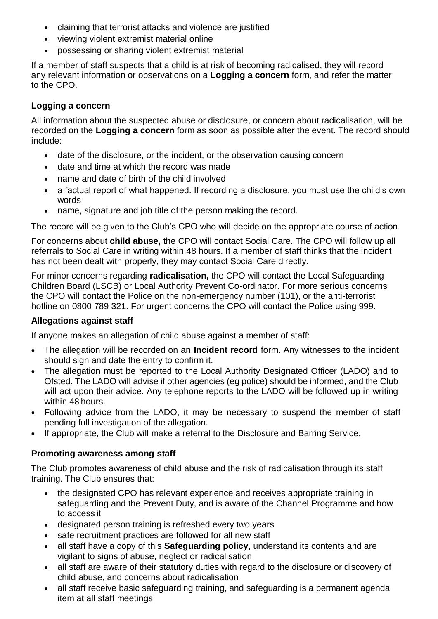- claiming that terrorist attacks and violence are justified
- viewing violent extremist material online
- possessing or sharing violent extremist material

If a member of staff suspects that a child is at risk of becoming radicalised, they will record any relevant information or observations on a **Logging a concern** form, and refer the matter to the CPO.

# **Logging a concern**

All information about the suspected abuse or disclosure, or concern about radicalisation, will be recorded on the **Logging a concern** form as soon as possible after the event. The record should include:

- date of the disclosure, or the incident, or the observation causing concern
- date and time at which the record was made
- name and date of birth of the child involved
- a factual report of what happened. If recording a disclosure, you must use the child's own words
- name, signature and job title of the person making the record.

The record will be given to the Club's CPO who will decide on the appropriate course of action.

For concerns about **child abuse,** the CPO will contact Social Care. The CPO will follow up all referrals to Social Care in writing within 48 hours. If a member of staff thinks that the incident has not been dealt with properly, they may contact Social Care directly.

For minor concerns regarding **radicalisation,** the CPO will contact the Local Safeguarding Children Board (LSCB) or Local Authority Prevent Co-ordinator. For more serious concerns the CPO will contact the Police on the non-emergency number (101), or the anti-terrorist hotline on 0800 789 321. For urgent concerns the CPO will contact the Police using 999.

# **Allegations against staff**

If anyone makes an allegation of child abuse against a member of staff:

- The allegation will be recorded on an **Incident record** form. Any witnesses to the incident should sign and date the entry to confirm it.
- The allegation must be reported to the Local Authority Designated Officer (LADO) and to Ofsted. The LADO will advise if other agencies (eg police) should be informed, and the Club will act upon their advice. Any telephone reports to the LADO will be followed up in writing within 48 hours.
- Following advice from the LADO, it may be necessary to suspend the member of staff pending full investigation of the allegation.
- If appropriate, the Club will make a referral to the Disclosure and Barring Service.

# **Promoting awareness among staff**

The Club promotes awareness of child abuse and the risk of radicalisation through its staff training. The Club ensures that:

- the designated CPO has relevant experience and receives appropriate training in safeguarding and the Prevent Duty, and is aware of the Channel Programme and how to access it
- designated person training is refreshed every two years
- safe recruitment practices are followed for all new staff
- all staff have a copy of this **Safeguarding policy**, understand its contents and are vigilant to signs of abuse, neglect or radicalisation
- all staff are aware of their statutory duties with regard to the disclosure or discovery of child abuse, and concerns about radicalisation
- all staff receive basic safeguarding training, and safeguarding is a permanent agenda item at all staff meetings